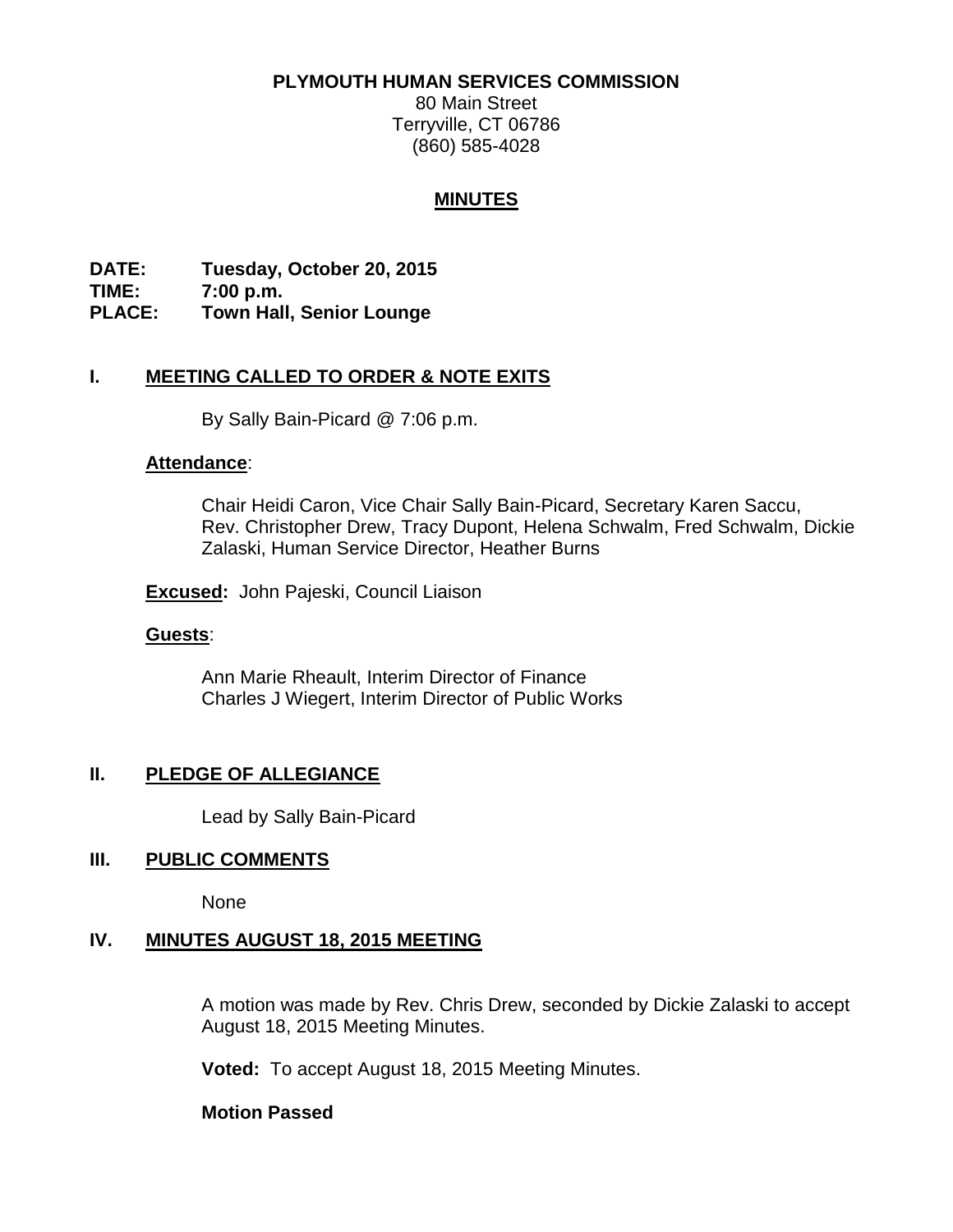#### **PLYMOUTH HUMAN SERVICES COMMISSION**

80 Main Street Terryville, CT 06786 (860) 585-4028

## **MINUTES**

**DATE: Tuesday, October 20, 2015 TIME: 7:00 p.m. PLACE: Town Hall, Senior Lounge**

## **I. MEETING CALLED TO ORDER & NOTE EXITS**

By Sally Bain-Picard @ 7:06 p.m.

### **Attendance**:

Chair Heidi Caron, Vice Chair Sally Bain-Picard, Secretary Karen Saccu, Rev. Christopher Drew, Tracy Dupont, Helena Schwalm, Fred Schwalm, Dickie Zalaski, Human Service Director, Heather Burns

**Excused:** John Pajeski, Council Liaison

### **Guests**:

Ann Marie Rheault, Interim Director of Finance Charles J Wiegert, Interim Director of Public Works

## **II. PLEDGE OF ALLEGIANCE**

Lead by Sally Bain-Picard

## **III. PUBLIC COMMENTS**

None

## **IV. MINUTES AUGUST 18, 2015 MEETING**

A motion was made by Rev. Chris Drew, seconded by Dickie Zalaski to accept August 18, 2015 Meeting Minutes.

**Voted:** To accept August 18, 2015 Meeting Minutes.

### **Motion Passed**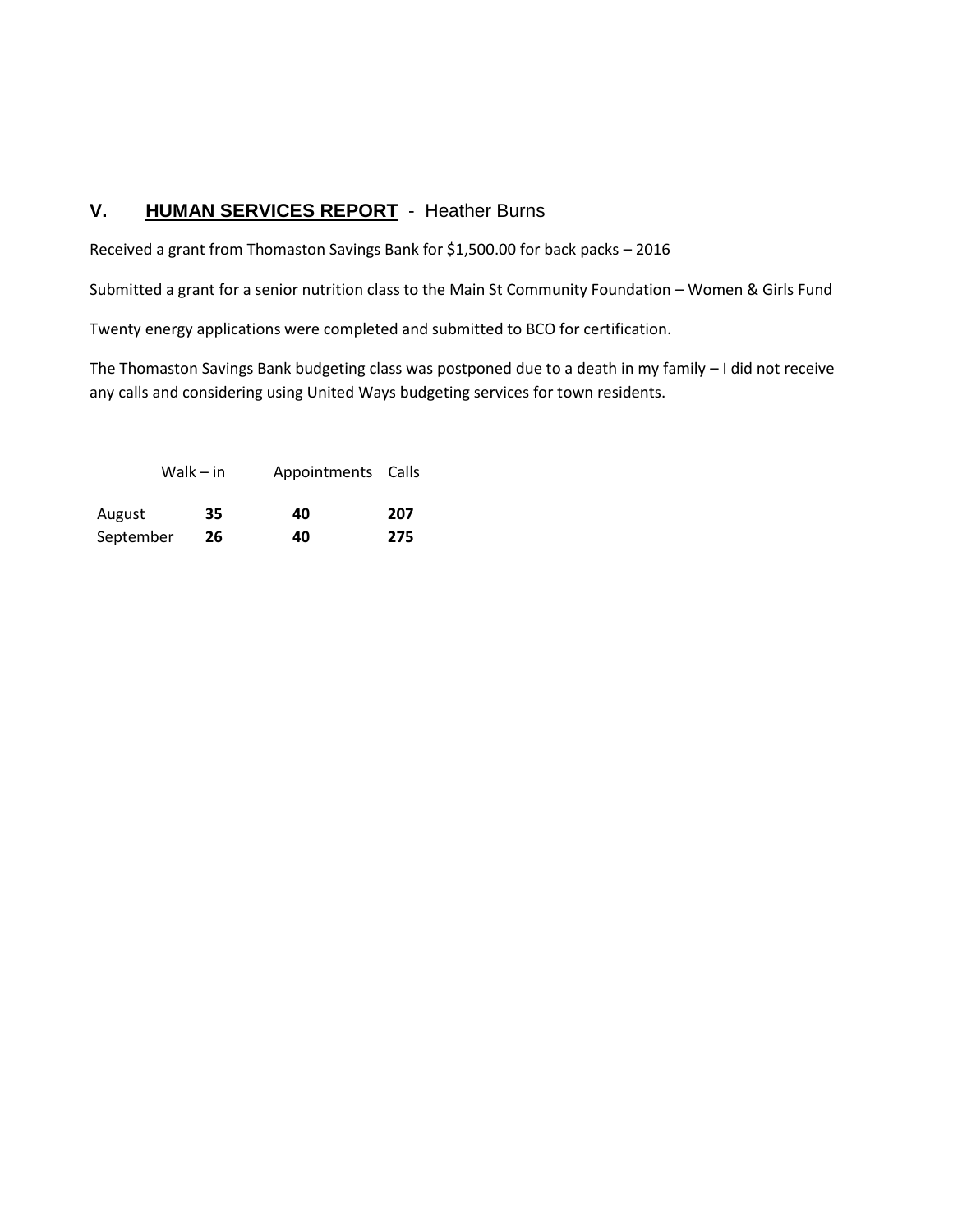# **V. HUMAN SERVICES REPORT** - Heather Burns

Received a grant from Thomaston Savings Bank for \$1,500.00 for back packs – 2016

Submitted a grant for a senior nutrition class to the Main St Community Foundation – Women & Girls Fund

Twenty energy applications were completed and submitted to BCO for certification.

The Thomaston Savings Bank budgeting class was postponed due to a death in my family – I did not receive any calls and considering using United Ways budgeting services for town residents.

| Walk $-$ in |    | Appointments Calls |     |  |
|-------------|----|--------------------|-----|--|
| August      | 35 | 40                 | 207 |  |
| September   | 26 | 40                 | 275 |  |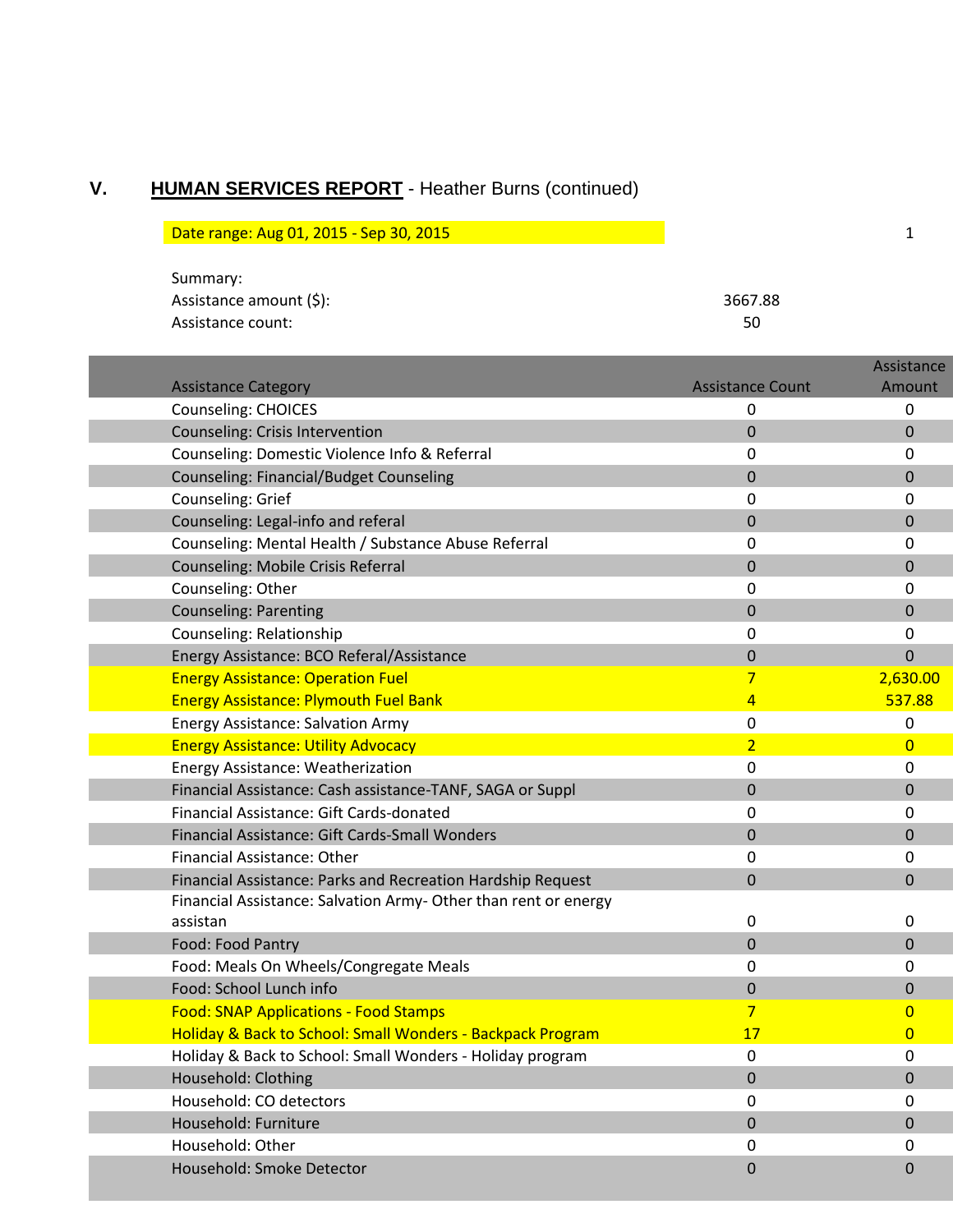# **V. HUMAN SERVICES REPORT** - Heather Burns (continued)

| Date range: Aug 01, 2015 - Sep 30, 2015 |         |  |
|-----------------------------------------|---------|--|
|                                         |         |  |
| Summary:                                |         |  |
| Assistance amount (\$):                 | 3667.88 |  |

| ASSISTATICE ATTIQUITE (5). | , וססכ |
|----------------------------|--------|
| Assistance count:          | 50     |
|                            |        |

|                                                                 |                         | Assistance       |
|-----------------------------------------------------------------|-------------------------|------------------|
| <b>Assistance Category</b>                                      | <b>Assistance Count</b> | Amount           |
| <b>Counseling: CHOICES</b>                                      | 0                       | 0                |
| <b>Counseling: Crisis Intervention</b>                          | $\Omega$                | $\Omega$         |
| Counseling: Domestic Violence Info & Referral                   | 0                       | 0                |
| <b>Counseling: Financial/Budget Counseling</b>                  | 0                       | 0                |
| Counseling: Grief                                               | 0                       | 0                |
| Counseling: Legal-info and referal                              | $\mathbf 0$             | 0                |
| Counseling: Mental Health / Substance Abuse Referral            | 0                       | 0                |
| Counseling: Mobile Crisis Referral                              | 0                       | 0                |
| Counseling: Other                                               | 0                       | 0                |
| <b>Counseling: Parenting</b>                                    | $\mathbf 0$             | $\mathbf 0$      |
| Counseling: Relationship                                        | 0                       | 0                |
| Energy Assistance: BCO Referal/Assistance                       | 0                       | $\overline{0}$   |
| <b>Energy Assistance: Operation Fuel</b>                        | 7                       | 2,630.00         |
| <b>Energy Assistance: Plymouth Fuel Bank</b>                    | 4                       | 537.88           |
| <b>Energy Assistance: Salvation Army</b>                        | 0                       | 0                |
| <b>Energy Assistance: Utility Advocacy</b>                      | $\overline{2}$          | $\mathbf{0}$     |
| Energy Assistance: Weatherization                               | 0                       | 0                |
| Financial Assistance: Cash assistance-TANF, SAGA or Suppl       | $\Omega$                | $\mathbf 0$      |
| Financial Assistance: Gift Cards-donated                        | 0                       | 0                |
| Financial Assistance: Gift Cards-Small Wonders                  | 0                       | $\Omega$         |
| Financial Assistance: Other                                     | 0                       | 0                |
| Financial Assistance: Parks and Recreation Hardship Request     | $\Omega$                | $\Omega$         |
| Financial Assistance: Salvation Army- Other than rent or energy |                         |                  |
| assistan                                                        | 0                       | 0                |
| Food: Food Pantry                                               | $\Omega$                | $\Omega$         |
| Food: Meals On Wheels/Congregate Meals                          | 0                       | 0                |
| Food: School Lunch info                                         | $\boldsymbol{0}$        | $\mathbf 0$      |
| <b>Food: SNAP Applications - Food Stamps</b>                    | 7                       | 0                |
| Holiday & Back to School: Small Wonders - Backpack Program      | 17                      | 0                |
| Holiday & Back to School: Small Wonders - Holiday program       | 0                       | 0                |
| Household: Clothing                                             | 0                       | $\boldsymbol{0}$ |
| Household: CO detectors                                         | 0                       | 0                |
| Household: Furniture                                            | $\mathbf 0$             | $\mathbf 0$      |
| Household: Other                                                | $\pmb{0}$               | 0                |
| Household: Smoke Detector                                       | $\mathbf{0}$            | $\mathbf 0$      |
|                                                                 |                         |                  |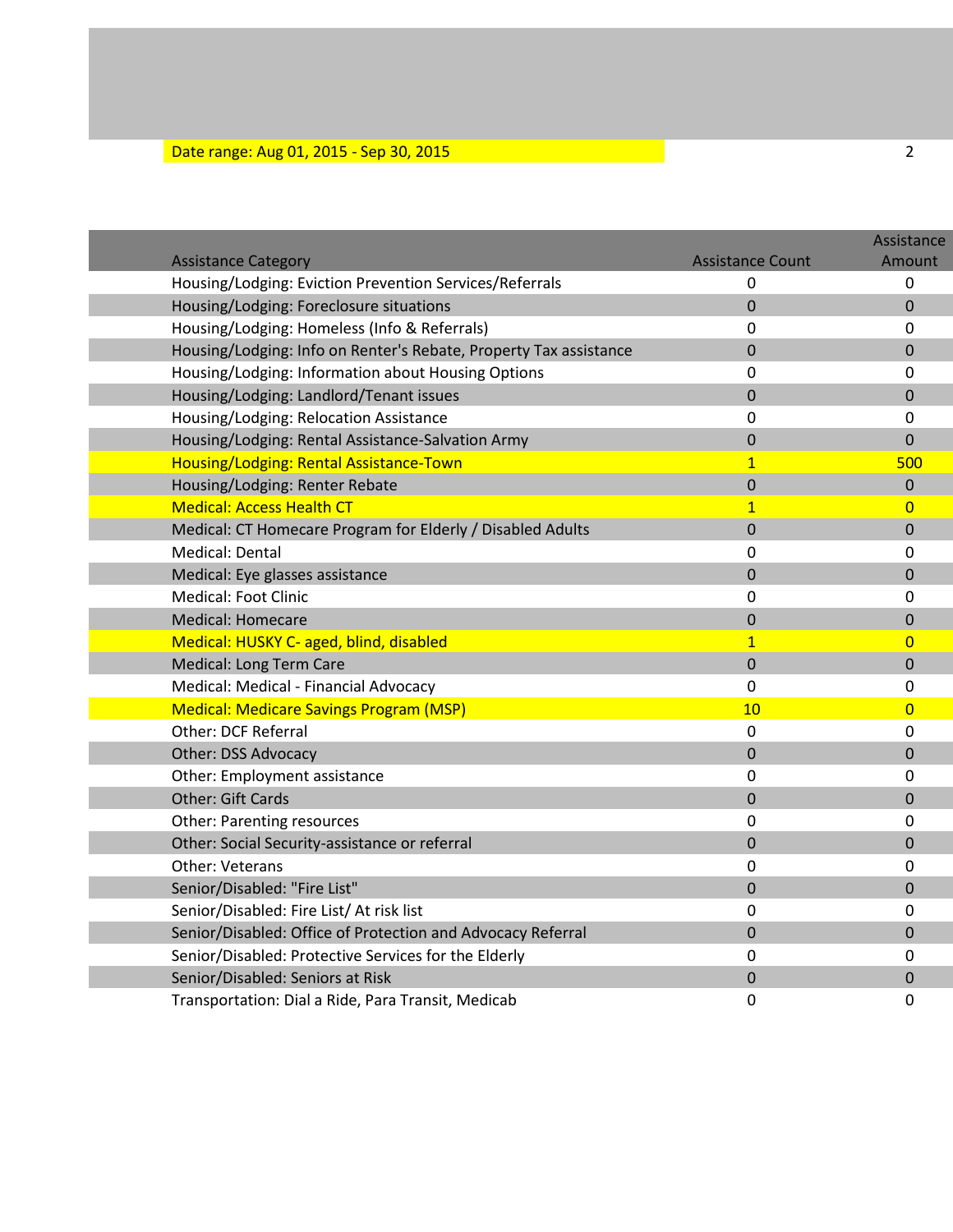# **Date range: Aug 01, 2015 - Sep 30, 2015** 2015 2016 2017 2020 2021 2022 2023 2024 2024 2024 2024 2024 2022 2024 20

|                                                                                       |                                     | Assistance       |
|---------------------------------------------------------------------------------------|-------------------------------------|------------------|
| <b>Assistance Category</b><br>Housing/Lodging: Eviction Prevention Services/Referrals | <b>Assistance Count</b><br>$\Omega$ | Amount<br>0      |
|                                                                                       | $\mathbf 0$                         | $\mathbf 0$      |
| Housing/Lodging: Foreclosure situations                                               |                                     |                  |
| Housing/Lodging: Homeless (Info & Referrals)                                          | $\Omega$                            | $\Omega$         |
| Housing/Lodging: Info on Renter's Rebate, Property Tax assistance                     | $\mathbf 0$                         | $\overline{0}$   |
| Housing/Lodging: Information about Housing Options                                    | $\Omega$                            | $\Omega$         |
| Housing/Lodging: Landlord/Tenant issues                                               | $\boldsymbol{0}$                    | $\overline{0}$   |
| Housing/Lodging: Relocation Assistance                                                | $\mathbf 0$                         | 0                |
| Housing/Lodging: Rental Assistance-Salvation Army                                     | $\mathbf 0$                         | $\mathbf 0$      |
| Housing/Lodging: Rental Assistance-Town                                               | $\overline{1}$                      | 500              |
| Housing/Lodging: Renter Rebate                                                        | $\mathbf 0$                         | $\boldsymbol{0}$ |
| <b>Medical: Access Health CT</b>                                                      | $\mathbf{1}$                        | $\overline{0}$   |
| Medical: CT Homecare Program for Elderly / Disabled Adults                            | 0                                   | $\boldsymbol{0}$ |
| Medical: Dental                                                                       | 0                                   | $\mathbf 0$      |
| Medical: Eye glasses assistance                                                       | $\Omega$                            | $\Omega$         |
| <b>Medical: Foot Clinic</b>                                                           | $\mathbf 0$                         | $\mathbf 0$      |
| <b>Medical: Homecare</b>                                                              | $\overline{0}$                      | $\mathbf 0$      |
| Medical: HUSKY C- aged, blind, disabled                                               | $\mathbf{1}$                        | $\overline{0}$   |
| Medical: Long Term Care                                                               | $\mathbf 0$                         | $\mathbf 0$      |
| Medical: Medical - Financial Advocacy                                                 | 0                                   | $\boldsymbol{0}$ |
| <b>Medical: Medicare Savings Program (MSP)</b>                                        | 10                                  | $\overline{0}$   |
| <b>Other: DCF Referral</b>                                                            | $\boldsymbol{0}$                    | $\Omega$         |
| <b>Other: DSS Advocacy</b>                                                            | $\boldsymbol{0}$                    | $\mathbf{0}$     |
| Other: Employment assistance                                                          | $\mathbf 0$                         | $\mathbf 0$      |
| <b>Other: Gift Cards</b>                                                              | $\mathbf 0$                         | $\Omega$         |
| <b>Other: Parenting resources</b>                                                     | 0                                   | $\mathbf 0$      |
| Other: Social Security-assistance or referral                                         | $\overline{0}$                      | $\overline{0}$   |
| <b>Other: Veterans</b>                                                                | $\mathbf 0$                         | $\mathbf 0$      |
| Senior/Disabled: "Fire List"                                                          | $\mathbf 0$                         | $\mathbf 0$      |
| Senior/Disabled: Fire List/ At risk list                                              | $\mathbf 0$                         | $\mathbf 0$      |
| Senior/Disabled: Office of Protection and Advocacy Referral                           | $\mathbf{0}$                        | $\mathbf{0}$     |
| Senior/Disabled: Protective Services for the Elderly                                  | 0                                   | 0                |
| Senior/Disabled: Seniors at Risk                                                      | $\overline{0}$                      | $\overline{0}$   |
| Transportation: Dial a Ride, Para Transit, Medicab                                    | 0                                   | 0                |